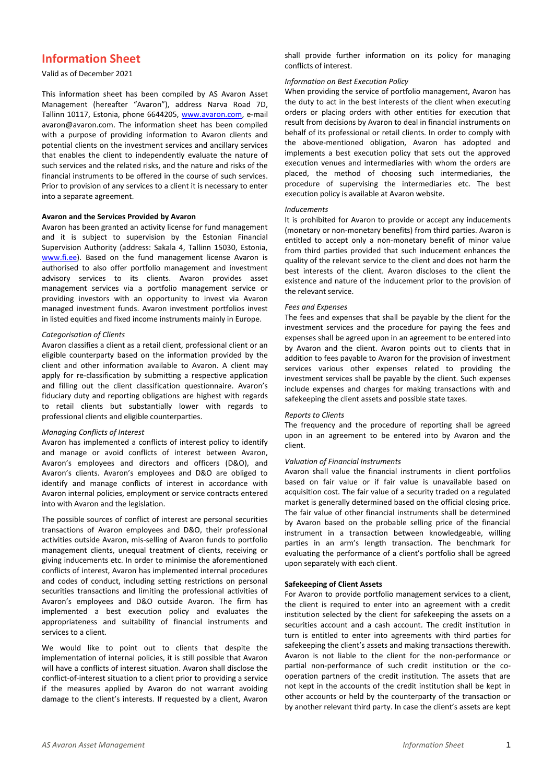# **Information Sheet**

# Valid as of December 2021

This information sheet has been compiled by AS Avaron Asset Management (hereafter "Avaron"), address Narva Road 7D, Tallinn 10117, Estonia, phone 6644205, [www.avaron.com,](http://www.avaron.com/) e-mail avaron@avaron.com. The information sheet has been compiled with a purpose of providing information to Avaron clients and potential clients on the investment services and ancillary services that enables the client to independently evaluate the nature of such services and the related risks, and the nature and risks of the financial instruments to be offered in the course of such services. Prior to provision of any services to a client it is necessary to enter into a separate agreement.

### **Avaron and the Services Provided by Avaron**

Avaron has been granted an activity license for fund management and it is subject to supervision by the Estonian Financial Supervision Authority (address: Sakala 4, Tallinn 15030, Estonia, [www.fi.ee\)](http://www.fi.ee/). Based on the fund management license Avaron is authorised to also offer portfolio management and investment advisory services to its clients. Avaron provides asset management services via a portfolio management service or providing investors with an opportunity to invest via Avaron managed investment funds. Avaron investment portfolios invest in listed equities and fixed income instruments mainly in Europe.

### *Categorisation of Clients*

Avaron classifies a client as a retail client, professional client or an eligible counterparty based on the information provided by the client and other information available to Avaron. A client may apply for re-classification by submitting a respective application and filling out the client classification questionnaire. Avaron's fiduciary duty and reporting obligations are highest with regards to retail clients but substantially lower with regards to professional clients and eligible counterparties.

## *Managing Conflicts of Interest*

Avaron has implemented a conflicts of interest policy to identify and manage or avoid conflicts of interest between Avaron, Avaron's employees and directors and officers (D&O), and Avaron's clients. Avaron's employees and D&O are obliged to identify and manage conflicts of interest in accordance with Avaron internal policies, employment or service contracts entered into with Avaron and the legislation.

The possible sources of conflict of interest are personal securities transactions of Avaron employees and D&O, their professional activities outside Avaron, mis-selling of Avaron funds to portfolio management clients, unequal treatment of clients, receiving or giving inducements etc. In order to minimise the aforementioned conflicts of interest, Avaron has implemented internal procedures and codes of conduct, including setting restrictions on personal securities transactions and limiting the professional activities of Avaron's employees and D&O outside Avaron. The firm has implemented a best execution policy and evaluates the appropriateness and suitability of financial instruments and services to a client.

We would like to point out to clients that despite the implementation of internal policies, it is still possible that Avaron will have a conflicts of interest situation. Avaron shall disclose the conflict-of-interest situation to a client prior to providing a service if the measures applied by Avaron do not warrant avoiding damage to the client's interests. If requested by a client, Avaron

shall provide further information on its policy for managing conflicts of interest.

## *Information on Best Execution Policy*

When providing the service of portfolio management, Avaron has the duty to act in the best interests of the client when executing orders or placing orders with other entities for execution that result from decisions by Avaron to deal in financial instruments on behalf of its professional or retail clients. In order to comply with the above-mentioned obligation, Avaron has adopted and implements a best execution policy that sets out the approved execution venues and intermediaries with whom the orders are placed, the method of choosing such intermediaries, the procedure of supervising the intermediaries etc. The best execution policy is available at Avaron website.

### *Inducements*

It is prohibited for Avaron to provide or accept any inducements (monetary or non-monetary benefits) from third parties. Avaron is entitled to accept only a non-monetary benefit of minor value from third parties provided that such inducement enhances the quality of the relevant service to the client and does not harm the best interests of the client. Avaron discloses to the client the existence and nature of the inducement prior to the provision of the relevant service.

## *Fees and Expenses*

The fees and expenses that shall be payable by the client for the investment services and the procedure for paying the fees and expenses shall be agreed upon in an agreement to be entered into by Avaron and the client. Avaron points out to clients that in addition to fees payable to Avaron for the provision of investment services various other expenses related to providing the investment services shall be payable by the client. Such expenses include expenses and charges for making transactions with and safekeeping the client assets and possible state taxes.

#### *Reports to Clients*

The frequency and the procedure of reporting shall be agreed upon in an agreement to be entered into by Avaron and the client.

## *Valuation of Financial Instruments*

Avaron shall value the financial instruments in client portfolios based on fair value or if fair value is unavailable based on acquisition cost. The fair value of a security traded on a regulated market is generally determined based on the official closing price. The fair value of other financial instruments shall be determined by Avaron based on the probable selling price of the financial instrument in a transaction between knowledgeable, willing parties in an arm's length transaction. The benchmark for evaluating the performance of a client's portfolio shall be agreed upon separately with each client.

# **Safekeeping of Client Assets**

For Avaron to provide portfolio management services to a client, the client is required to enter into an agreement with a credit institution selected by the client for safekeeping the assets on a securities account and a cash account. The credit institution in turn is entitled to enter into agreements with third parties for safekeeping the client's assets and making transactions therewith. Avaron is not liable to the client for the non-performance or partial non-performance of such credit institution or the cooperation partners of the credit institution. The assets that are not kept in the accounts of the credit institution shall be kept in other accounts or held by the counterparty of the transaction or by another relevant third party. In case the client's assets are kept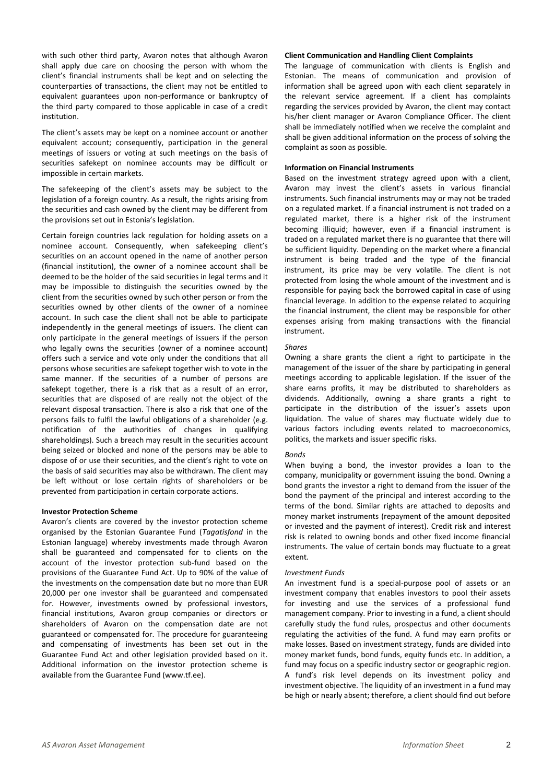with such other third party, Avaron notes that although Avaron shall apply due care on choosing the person with whom the client's financial instruments shall be kept and on selecting the counterparties of transactions, the client may not be entitled to equivalent guarantees upon non-performance or bankruptcy of the third party compared to those applicable in case of a credit institution.

The client's assets may be kept on a nominee account or another equivalent account; consequently, participation in the general meetings of issuers or voting at such meetings on the basis of securities safekept on nominee accounts may be difficult or impossible in certain markets.

The safekeeping of the client's assets may be subject to the legislation of a foreign country. As a result, the rights arising from the securities and cash owned by the client may be different from the provisions set out in Estonia's legislation.

Certain foreign countries lack regulation for holding assets on a nominee account. Consequently, when safekeeping client's securities on an account opened in the name of another person (financial institution), the owner of a nominee account shall be deemed to be the holder of the said securities in legal terms and it may be impossible to distinguish the securities owned by the client from the securities owned by such other person or from the securities owned by other clients of the owner of a nominee account. In such case the client shall not be able to participate independently in the general meetings of issuers. The client can only participate in the general meetings of issuers if the person who legally owns the securities (owner of a nominee account) offers such a service and vote only under the conditions that all persons whose securities are safekept together wish to vote in the same manner. If the securities of a number of persons are safekept together, there is a risk that as a result of an error, securities that are disposed of are really not the object of the relevant disposal transaction. There is also a risk that one of the persons fails to fulfil the lawful obligations of a shareholder (e.g. notification of the authorities of changes in qualifying shareholdings). Such a breach may result in the securities account being seized or blocked and none of the persons may be able to dispose of or use their securities, and the client's right to vote on the basis of said securities may also be withdrawn. The client may be left without or lose certain rights of shareholders or be prevented from participation in certain corporate actions.

## **Investor Protection Scheme**

Avaron's clients are covered by the investor protection scheme organised by the Estonian Guarantee Fund (*Tagatisfond* in the Estonian language) whereby investments made through Avaron shall be guaranteed and compensated for to clients on the account of the investor protection sub-fund based on the provisions of the Guarantee Fund Act. Up to 90% of the value of the investments on the compensation date but no more than EUR 20,000 per one investor shall be guaranteed and compensated for. However, investments owned by professional investors, financial institutions, Avaron group companies or directors or shareholders of Avaron on the compensation date are not guaranteed or compensated for. The procedure for guaranteeing and compensating of investments has been set out in the Guarantee Fund Act and other legislation provided based on it. Additional information on the investor protection scheme is available from the Guarantee Fund (www.tf.ee).

# **Client Communication and Handling Client Complaints**

The language of communication with clients is English and Estonian. The means of communication and provision of information shall be agreed upon with each client separately in the relevant service agreement. If a client has complaints regarding the services provided by Avaron, the client may contact his/her client manager or Avaron Compliance Officer. The client shall be immediately notified when we receive the complaint and shall be given additional information on the process of solving the complaint as soon as possible.

# **Information on Financial Instruments**

Based on the investment strategy agreed upon with a client, Avaron may invest the client's assets in various financial instruments. Such financial instruments may or may not be traded on a regulated market. If a financial instrument is not traded on a regulated market, there is a higher risk of the instrument becoming illiquid; however, even if a financial instrument is traded on a regulated market there is no guarantee that there will be sufficient liquidity. Depending on the market where a financial instrument is being traded and the type of the financial instrument, its price may be very volatile. The client is not protected from losing the whole amount of the investment and is responsible for paying back the borrowed capital in case of using financial leverage. In addition to the expense related to acquiring the financial instrument, the client may be responsible for other expenses arising from making transactions with the financial instrument.

## *Shares*

Owning a share grants the client a right to participate in the management of the issuer of the share by participating in general meetings according to applicable legislation. If the issuer of the share earns profits, it may be distributed to shareholders as dividends. Additionally, owning a share grants a right to participate in the distribution of the issuer's assets upon liquidation. The value of shares may fluctuate widely due to various factors including events related to macroeconomics, politics, the markets and issuer specific risks.

# *Bonds*

When buying a bond, the investor provides a loan to the company, municipality or government issuing the bond. Owning a bond grants the investor a right to demand from the issuer of the bond the payment of the principal and interest according to the terms of the bond. Similar rights are attached to deposits and money market instruments (repayment of the amount deposited or invested and the payment of interest). Credit risk and interest risk is related to owning bonds and other fixed income financial instruments. The value of certain bonds may fluctuate to a great extent.

## *Investment Funds*

An investment fund is a special-purpose pool of assets or an investment company that enables investors to pool their assets for investing and use the services of a professional fund management company. Prior to investing in a fund, a client should carefully study the fund rules, prospectus and other documents regulating the activities of the fund. A fund may earn profits or make losses. Based on investment strategy, funds are divided into money market funds, bond funds, equity funds etc. In addition, a fund may focus on a specific industry sector or geographic region. A fund's risk level depends on its investment policy and investment objective. The liquidity of an investment in a fund may be high or nearly absent; therefore, a client should find out before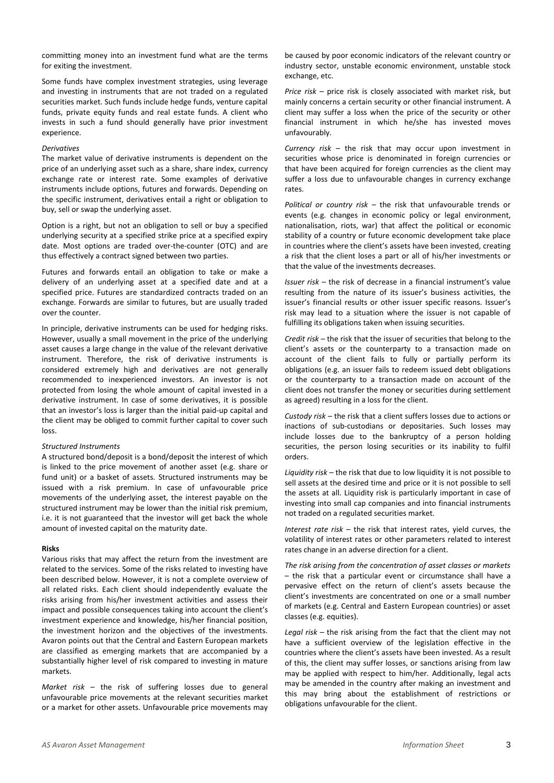committing money into an investment fund what are the terms for exiting the investment.

Some funds have complex investment strategies, using leverage and investing in instruments that are not traded on a regulated securities market. Such funds include hedge funds, venture capital funds, private equity funds and real estate funds. A client who invests in such a fund should generally have prior investment experience.

## *Derivatives*

The market value of derivative instruments is dependent on the price of an underlying asset such as a share, share index, currency exchange rate or interest rate. Some examples of derivative instruments include options, futures and forwards. Depending on the specific instrument, derivatives entail a right or obligation to buy, sell or swap the underlying asset.

Option is a right, but not an obligation to sell or buy a specified underlying security at a specified strike price at a specified expiry date. Most options are traded over-the-counter (OTC) and are thus effectively a contract signed between two parties.

Futures and forwards entail an obligation to take or make a delivery of an underlying asset at a specified date and at a specified price. Futures are standardized contracts traded on an exchange. Forwards are similar to futures, but are usually traded over the counter.

In principle, derivative instruments can be used for hedging risks. However, usually a small movement in the price of the underlying asset causes a large change in the value of the relevant derivative instrument. Therefore, the risk of derivative instruments is considered extremely high and derivatives are not generally recommended to inexperienced investors. An investor is not protected from losing the whole amount of capital invested in a derivative instrument. In case of some derivatives, it is possible that an investor's loss is larger than the initial paid-up capital and the client may be obliged to commit further capital to cover such loss.

### *Structured Instruments*

A structured bond/deposit is a bond/deposit the interest of which is linked to the price movement of another asset (e.g. share or fund unit) or a basket of assets. Structured instruments may be issued with a risk premium. In case of unfavourable price movements of the underlying asset, the interest payable on the structured instrument may be lower than the initial risk premium, i.e. it is not guaranteed that the investor will get back the whole amount of invested capital on the maturity date.

#### **Risks**

Various risks that may affect the return from the investment are related to the services. Some of the risks related to investing have been described below. However, it is not a complete overview of all related risks. Each client should independently evaluate the risks arising from his/her investment activities and assess their impact and possible consequences taking into account the client's investment experience and knowledge, his/her financial position, the investment horizon and the objectives of the investments. Avaron points out that the Central and Eastern European markets are classified as emerging markets that are accompanied by a substantially higher level of risk compared to investing in mature markets.

*Market risk* – the risk of suffering losses due to general unfavourable price movements at the relevant securities market or a market for other assets. Unfavourable price movements may

be caused by poor economic indicators of the relevant country or industry sector, unstable economic environment, unstable stock exchange, etc.

*Price risk* – price risk is closely associated with market risk, but mainly concerns a certain security or other financial instrument. A client may suffer a loss when the price of the security or other financial instrument in which he/she has invested moves unfavourably.

*Currency risk* – the risk that may occur upon investment in securities whose price is denominated in foreign currencies or that have been acquired for foreign currencies as the client may suffer a loss due to unfavourable changes in currency exchange rates.

*Political or country risk* – the risk that unfavourable trends or events (e.g. changes in economic policy or legal environment, nationalisation, riots, war) that affect the political or economic stability of a country or future economic development take place in countries where the client's assets have been invested, creating a risk that the client loses a part or all of his/her investments or that the value of the investments decreases.

*Issuer risk* – the risk of decrease in a financial instrument's value resulting from the nature of its issuer's business activities, the issuer's financial results or other issuer specific reasons. Issuer's risk may lead to a situation where the issuer is not capable of fulfilling its obligations taken when issuing securities.

*Credit risk* – the risk that the issuer of securities that belong to the client's assets or the counterparty to a transaction made on account of the client fails to fully or partially perform its obligations (e.g. an issuer fails to redeem issued debt obligations or the counterparty to a transaction made on account of the client does not transfer the money or securities during settlement as agreed) resulting in a loss for the client.

*Custody risk* – the risk that a client suffers losses due to actions or inactions of sub-custodians or depositaries. Such losses may include losses due to the bankruptcy of a person holding securities, the person losing securities or its inability to fulfil orders.

*Liquidity risk* – the risk that due to low liquidity it is not possible to sell assets at the desired time and price or it is not possible to sell the assets at all. Liquidity risk is particularly important in case of investing into small cap companies and into financial instruments not traded on a regulated securities market.

*Interest rate risk* – the risk that interest rates, yield curves, the volatility of interest rates or other parameters related to interest rates change in an adverse direction for a client.

*The risk arising from the concentration of asset classes or markets* – the risk that a particular event or circumstance shall have a pervasive effect on the return of client's assets because the client's investments are concentrated on one or a small number of markets (e.g. Central and Eastern European countries) or asset classes (e.g. equities).

*Legal risk* – the risk arising from the fact that the client may not have a sufficient overview of the legislation effective in the countries where the client's assets have been invested. As a result of this, the client may suffer losses, or sanctions arising from law may be applied with respect to him/her. Additionally, legal acts may be amended in the country after making an investment and this may bring about the establishment of restrictions or obligations unfavourable for the client.